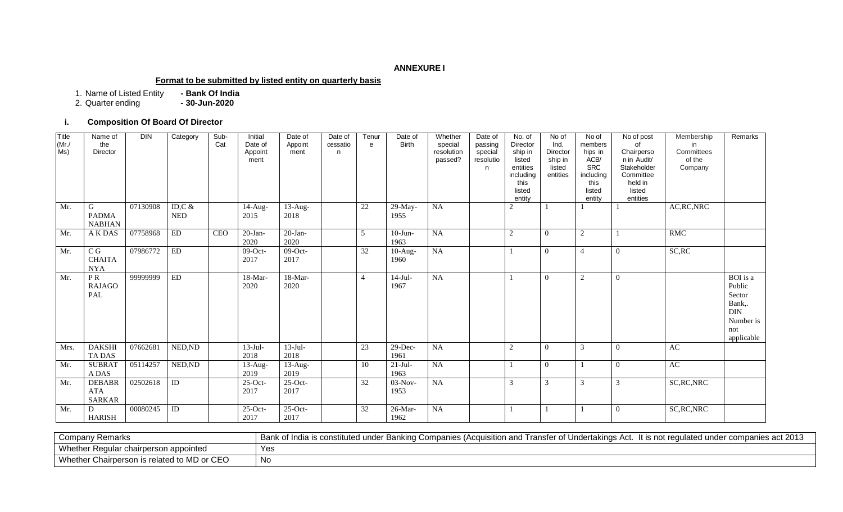## **ANNEXURE I**

#### **Format to be submitted by listed entity on quarterly basis**

1. Name of Listed Entity **- Bank Of India**

2. Quarter ending **- 30-Jun-2020**

# **i. Composition Of Board Of Director**

| Title<br>$(Mr$ ./<br>MS) | Name of<br>the<br>Director                   | <b>DIN</b> | Category                | Sub-<br>Cat | Initial<br>Date of<br>Appoint<br>ment | Date of<br>Appoint<br>ment    | Date of<br>cessatio<br>n. | Tenur<br>$\mathbf{e}$ | Date of<br><b>Birth</b> | Whether<br>special<br>resolution<br>passed? | Date of<br>passing<br>special<br>resolutio<br>n. | No. of<br>Director<br>ship in<br>listed<br>entities<br>including<br>this<br>listed<br>entity | No of<br>Ind.<br>Director<br>ship in<br>listed<br>entities | No of<br>members<br>hips in<br>ACB/<br><b>SRC</b><br>including<br>this<br>listed<br>entity | No of post<br>Ωf<br>Chairperso<br>n in Audit/<br>Stakeholder<br>Committee<br>held in<br>listed<br>entities | Membership<br>in<br>Committees<br>of the<br>Company | Remarks                                                                                |
|--------------------------|----------------------------------------------|------------|-------------------------|-------------|---------------------------------------|-------------------------------|---------------------------|-----------------------|-------------------------|---------------------------------------------|--------------------------------------------------|----------------------------------------------------------------------------------------------|------------------------------------------------------------|--------------------------------------------------------------------------------------------|------------------------------------------------------------------------------------------------------------|-----------------------------------------------------|----------------------------------------------------------------------------------------|
| Mr.                      | G<br><b>PADMA</b><br><b>NABHAN</b>           | 07130908   | ID,C $\&$<br><b>NED</b> |             | $\overline{1}$ 4-Aug-<br>2015         | $\overline{1}$ 3-Aug-<br>2018 |                           | $22\,$                | 29-May-<br>1955         | NA                                          |                                                  | $\overline{2}$                                                                               |                                                            |                                                                                            |                                                                                                            | AC, RC, NRC                                         |                                                                                        |
| Mr.                      | A K DAS                                      | 07758968   | ED                      | <b>CEO</b>  | $20-Ian-$<br>2020                     | $20-Ian-$<br>2020             |                           | 5                     | $10$ -Jun-<br>1963      | NA                                          |                                                  | 2                                                                                            | $\Omega$                                                   | $\overline{2}$                                                                             |                                                                                                            | <b>RMC</b>                                          |                                                                                        |
| Mr.                      | C G<br><b>CHAITA</b><br><b>NYA</b>           | 07986772   | ${\rm ED}$              |             | $09$ -Oct-<br>2017                    | $09$ -Oct-<br>2017            |                           | 32                    | $10-Aug-$<br>1960       | <b>NA</b>                                   |                                                  |                                                                                              | $\theta$                                                   |                                                                                            | $\Omega$                                                                                                   | SC, RC                                              |                                                                                        |
| Mr.                      | PR<br><b>RAJAGO</b><br>PAL                   | 99999999   | ED                      |             | 18-Mar-<br>2020                       | 18-Mar-<br>2020               |                           | $\overline{4}$        | $14-Jul-$<br>1967       | <b>NA</b>                                   |                                                  |                                                                                              | $\Omega$                                                   | $\overline{2}$                                                                             | $\Omega$                                                                                                   |                                                     | BOI is a<br>Public<br>Sector<br>Bank,.<br><b>DIN</b><br>Number is<br>not<br>applicable |
| Mrs.                     | <b>DAKSHI</b><br>TA DAS                      | 07662681   | NED, ND                 |             | $13-Jul-$<br>2018                     | $13-Jul-$<br>2018             |                           | 23                    | $29$ -Dec-<br>1961      | <b>NA</b>                                   |                                                  | 2                                                                                            | $\Omega$                                                   | $\mathcal{R}$                                                                              | $\Omega$                                                                                                   | AC                                                  |                                                                                        |
| Mr.                      | <b>SUBRAT</b><br>A DAS                       | 05114257   | NED, ND                 |             | $13$ -Aug-<br>2019                    | $13$ -Aug-<br>2019            |                           | 10                    | $21-Jul-$<br>1963       | <b>NA</b>                                   |                                                  |                                                                                              | $\Omega$                                                   |                                                                                            | $\Omega$                                                                                                   | AC                                                  |                                                                                        |
| Mr.                      | <b>DEBABR</b><br><b>ATA</b><br><b>SARKAR</b> | 02502618   | ID                      |             | $25$ -Oct-<br>2017                    | $25$ -Oct-<br>2017            |                           | 32                    | $03-Nov-$<br>1953       | NA                                          |                                                  | 3                                                                                            | 3                                                          | $\mathcal{R}$                                                                              |                                                                                                            | SC, RC, NRC                                         |                                                                                        |
| Mr.                      | D<br><b>HARISH</b>                           | 00080245   | $\overline{ID}$         |             | $25$ -Oct-<br>2017                    | $25$ -Oct-<br>2017            |                           | 32                    | 26-Mar-<br>1962         | NA                                          |                                                  |                                                                                              |                                                            |                                                                                            | $\Omega$                                                                                                   | SC, RC, NRC                                         |                                                                                        |

| Remarks<br>Company                                                                                         | act 2013<br>r companies act<br>f India is constituted under Banking Companies (Acquisition and<br>! ranster of \<br>ulated under<br>ertakıngs Act.<br>Under<br>it is not rea <sup>,</sup><br>.<br>0t |
|------------------------------------------------------------------------------------------------------------|------------------------------------------------------------------------------------------------------------------------------------------------------------------------------------------------------|
| Whether<br>appointed<br>' Requiar chairperson                                                              | Yes                                                                                                                                                                                                  |
| Whether<br>$\sim$ iv ivid or CFO $\sim$<br>$\sim$<br>$\sim$ related to M <sup>-</sup><br>∶Chairperson is i | No.                                                                                                                                                                                                  |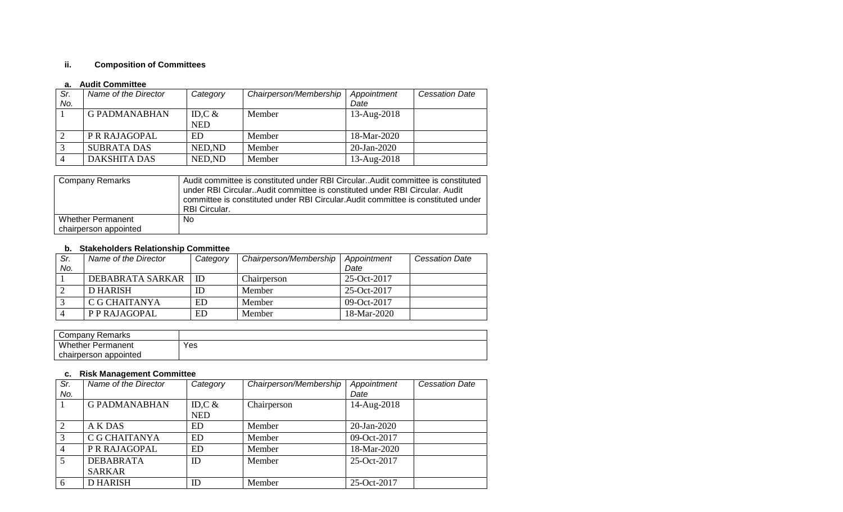# **ii. Composition of Committees**

## **a. Audit Committee**

| Sr. | Name of the Director | Category   | Chairperson/Membership | Appointment | <b>Cessation Date</b> |
|-----|----------------------|------------|------------------------|-------------|-----------------------|
| No. |                      |            |                        | Date        |                       |
|     | <b>G PADMANABHAN</b> | ID,C $\&$  | Member                 | 13-Aug-2018 |                       |
|     |                      | <b>NED</b> |                        |             |                       |
|     | P R RAJAGOPAL        | ED         | Member                 | 18-Mar-2020 |                       |
|     | <b>SUBRATA DAS</b>   | NED, ND    | Member                 | 20-Jan-2020 |                       |
|     | <b>DAKSHITA DAS</b>  | NED, ND    | Member                 | 13-Aug-2018 |                       |

| Company Remarks          | Audit committee is constituted under RBI Circular. Audit committee is constituted<br>under RBI Circular. Audit committee is constituted under RBI Circular. Audit<br>committee is constituted under RBI Circular. Audit committee is constituted under<br><b>RBI Circular.</b> |
|--------------------------|--------------------------------------------------------------------------------------------------------------------------------------------------------------------------------------------------------------------------------------------------------------------------------|
| <b>Whether Permanent</b> | No.                                                                                                                                                                                                                                                                            |
| chairperson appointed    |                                                                                                                                                                                                                                                                                |

## **b. Stakeholders Relationship Committee**

| Sr. | Name of the Director | Category | Chairperson/Membership | Appointment    | <b>Cessation Date</b> |
|-----|----------------------|----------|------------------------|----------------|-----------------------|
| No. |                      |          |                        | Date           |                       |
|     | DEBABRATA SARKAR     | ID       | Chairperson            | $25-Oct-2017$  |                       |
|     | D HARISH             | ΙD       | Member                 | $25-Oct-2017$  |                       |
|     | C G CHAITANYA        | ED       | Member                 | 09-Oct- $2017$ |                       |
|     | P P RAJAGOPAL        | ED       | Member                 | 18-Mar-2020    |                       |

| Company Remarks          |     |
|--------------------------|-----|
| <b>Whether Permanent</b> | Yes |
| chairperson<br>appointed |     |

#### **c. Risk Management Committee**

| Sr.            | Name of the Director | Category   | Chairperson/Membership | Appointment | <b>Cessation Date</b> |
|----------------|----------------------|------------|------------------------|-------------|-----------------------|
| No.            |                      |            |                        | Date        |                       |
|                | <b>G PADMANABHAN</b> | ID, $C \&$ | Chairperson            | 14-Aug-2018 |                       |
|                |                      | <b>NED</b> |                        |             |                       |
| $\overline{2}$ | <b>AKDAS</b>         | ED         | Member                 | 20-Jan-2020 |                       |
| 3              | C G CHAITANYA        | <b>ED</b>  | Member                 | 09-Oct-2017 |                       |
| 4              | P R RAJAGOPAL        | <b>ED</b>  | Member                 | 18-Mar-2020 |                       |
| 5              | <b>DEBABRATA</b>     | ID         | Member                 | 25-Oct-2017 |                       |
|                | <b>SARKAR</b>        |            |                        |             |                       |
| 6              | <b>D HARISH</b>      | ID         | Member                 | 25-Oct-2017 |                       |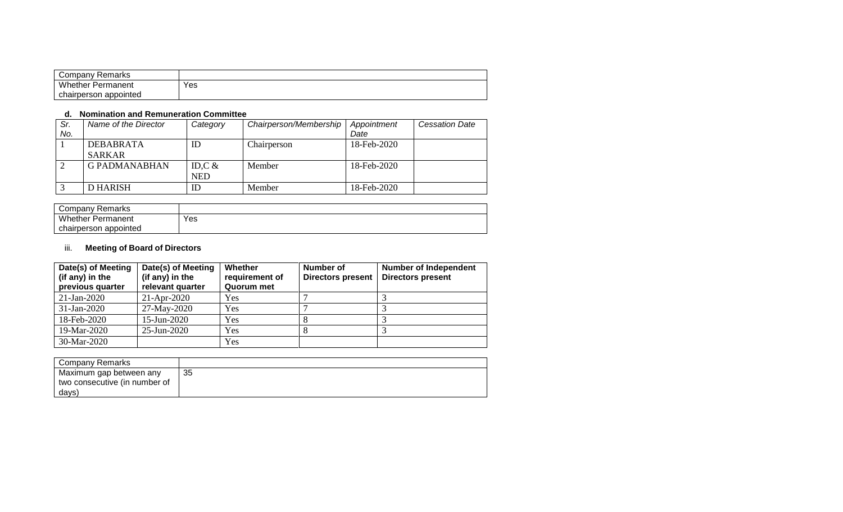| Company Remarks          |     |
|--------------------------|-----|
| <b>Whether Permanent</b> | Yes |
| chairperson appointed    |     |

## **d. Nomination and Remuneration Committee**

| Sr.<br>No. | Name of the Director | Category   | Chairperson/Membership | Appointment<br>Date | <b>Cessation Date</b> |
|------------|----------------------|------------|------------------------|---------------------|-----------------------|
|            | DEBABRATA            | ID         | Chairperson            | 18-Feb-2020         |                       |
|            | <b>SARKAR</b>        |            |                        |                     |                       |
|            | <b>G PADMANABHAN</b> | ID, $C \&$ | Member                 | 18-Feb-2020         |                       |
|            |                      | <b>NED</b> |                        |                     |                       |
|            | D HARISH             | ΙD         | Member                 | 18-Feb-2020         |                       |

| Company Remarks             |     |
|-----------------------------|-----|
| <b>Whether Permanent</b>    | Yes |
| appointed) ۱<br>chairperson |     |

# iii. **Meeting of Board of Directors**

| Date(s) of Meeting<br>(if any) in the<br>previous quarter | Date(s) of Meeting<br>(if any) in the<br>relevant quarter | Whether<br>requirement of<br>Quorum met | Number of<br><b>Directors present</b> | <b>Number of Independent</b><br><b>Directors present</b> |
|-----------------------------------------------------------|-----------------------------------------------------------|-----------------------------------------|---------------------------------------|----------------------------------------------------------|
| $21$ -Jan-2020                                            | $21-Apr-2020$                                             | Yes                                     |                                       |                                                          |
| $31-Jan-2020$                                             | 27-May-2020                                               | Yes                                     |                                       |                                                          |
| 18-Feb-2020                                               | $15$ -Jun-2020                                            | Yes                                     |                                       |                                                          |
| 19-Mar-2020                                               | 25-Jun-2020                                               | Yes                                     |                                       |                                                          |
| 30-Mar-2020                                               |                                                           | Yes                                     |                                       |                                                          |

| Company Remarks               |    |
|-------------------------------|----|
| Maximum gap between any       | 35 |
| two consecutive (in number of |    |
| days)                         |    |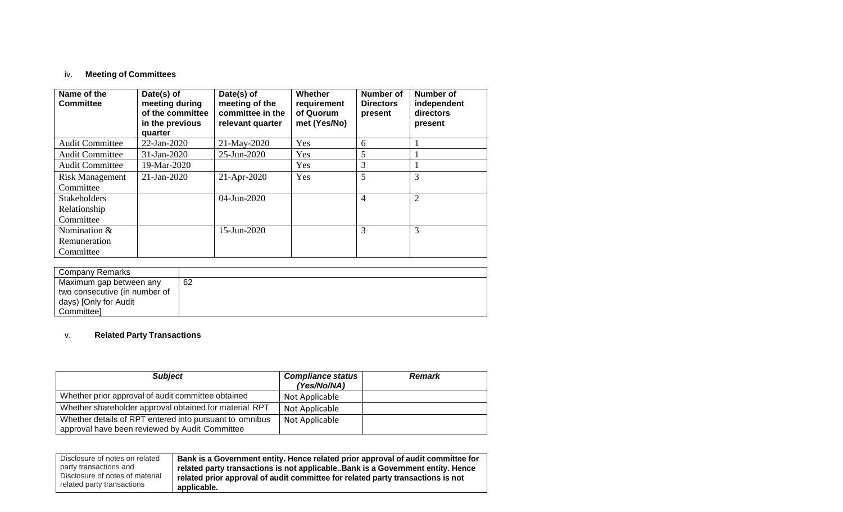# iv. **Meeting of Committees**

| Name of the<br>Committee | Date(s) of<br>meeting during<br>of the committee<br>in the previous<br>quarter | Date(s) of<br>meeting of the<br>committee in the<br>relevant quarter | Whether<br>requirement<br>of Quorum<br>met (Yes/No) | <b>Number of</b><br><b>Directors</b><br>present | Number of<br>independent<br>directors<br>present |
|--------------------------|--------------------------------------------------------------------------------|----------------------------------------------------------------------|-----------------------------------------------------|-------------------------------------------------|--------------------------------------------------|
| <b>Audit Committee</b>   | 22-Jan-2020                                                                    | 21-May-2020                                                          | Yes                                                 | 6                                               |                                                  |
| <b>Audit Committee</b>   | $31-Jan-2020$                                                                  | 25-Jun-2020                                                          | Yes                                                 | 5                                               |                                                  |
| <b>Audit Committee</b>   | 19-Mar-2020                                                                    |                                                                      | Yes                                                 | 3                                               |                                                  |
| <b>Risk Management</b>   | $21-Jan-2020$                                                                  | $21-Apr-2020$                                                        | Yes                                                 | 5                                               | 3                                                |
| Committee                |                                                                                |                                                                      |                                                     |                                                 |                                                  |
| <b>Stakeholders</b>      |                                                                                | $04$ -Jun-2020                                                       |                                                     | 4                                               | $\overline{2}$                                   |
| Relationship             |                                                                                |                                                                      |                                                     |                                                 |                                                  |
| Committee                |                                                                                |                                                                      |                                                     |                                                 |                                                  |
| Nomination &             |                                                                                | 15-Jun-2020                                                          |                                                     | 3                                               | 3                                                |
| Remuneration             |                                                                                |                                                                      |                                                     |                                                 |                                                  |
| Committee                |                                                                                |                                                                      |                                                     |                                                 |                                                  |

| Company Remarks               |    |
|-------------------------------|----|
| Maximum gap between any       | 62 |
| two consecutive (in number of |    |
| days) [Only for Audit         |    |
| Committeel                    |    |

# v. **Related Party Transactions**

| <b>Subject</b>                                                                                            | <b>Compliance status</b><br>(Yes/No/NA) | <b>Remark</b> |
|-----------------------------------------------------------------------------------------------------------|-----------------------------------------|---------------|
| Whether prior approval of audit committee obtained                                                        | Not Applicable                          |               |
| Whether shareholder approval obtained for material RPT                                                    | Not Applicable                          |               |
| Whether details of RPT entered into pursuant to omnibus<br>approval have been reviewed by Audit Committee | Not Applicable                          |               |

| Disclosure of notes on related  | Bank is a Government entity. Hence related prior approval of audit committee for |
|---------------------------------|----------------------------------------------------------------------------------|
| party transactions and          | related party transactions is not applicable. Bank is a Government entity. Hence |
| Disclosure of notes of material | related prior approval of audit committee for related party transactions is not  |
| related party transactions      | applicable.                                                                      |